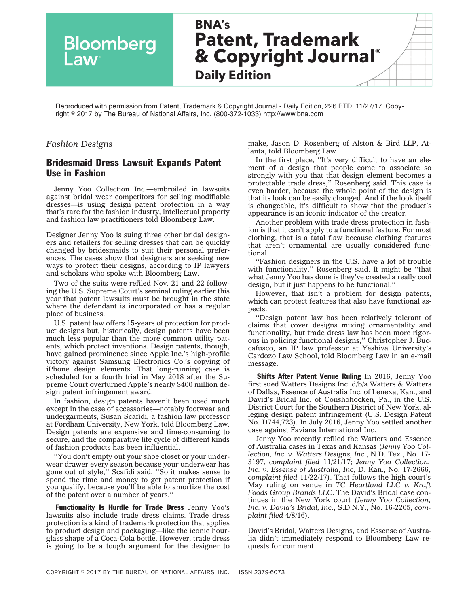

Reproduced with permission from Patent, Trademark & Copyright Journal - Daily Edition, 226 PTD, 11/27/17. Copyright - 2017 by The Bureau of National Affairs, Inc. (800-372-1033) http://www.bna.com

## *Fashion Designs*

## Bridesmaid Dress Lawsuit Expands Patent Use in Fashion

Jenny Yoo Collection Inc.—embroiled in lawsuits against bridal wear competitors for selling modifiable dresses—is using design patent protection in a way that's rare for the fashion industry, intellectual property and fashion law practitioners told Bloomberg Law.

Designer Jenny Yoo is suing three other bridal designers and retailers for selling dresses that can be quickly changed by bridesmaids to suit their personal preferences. The cases show that designers are seeking new ways to protect their designs, according to IP lawyers and scholars who spoke with Bloomberg Law.

Two of the suits were refiled Nov. 21 and 22 following the U.S. Supreme Court's seminal ruling earlier this year that patent lawsuits must be brought in the state where the defendant is incorporated or has a regular place of business.

U.S. patent law offers 15-years of protection for product designs but, historically, design patents have been much less popular than the more common utility patents, which protect inventions. Design patents, though, have gained prominence since Apple Inc.'s high-profile victory against Samsung Electronics Co.'s copying of iPhone design elements. That long-running case is scheduled for a fourth trial in May 2018 after the Supreme Court overturned Apple's nearly \$400 million design patent infringement award.

In fashion, design patents haven't been used much except in the case of accessories—notably footwear and undergarments, Susan Scafidi, a fashion law professor at Fordham University, New York, told Bloomberg Law. Design patents are expensive and time-consuming to secure, and the comparative life cycle of different kinds of fashion products has been influential.

''You don't empty out your shoe closet or your underwear drawer every season because your underwear has gone out of style,'' Scafidi said. ''So it makes sense to spend the time and money to get patent protection if you qualify, because you'll be able to amortize the cost of the patent over a number of years.''

Functionality Is Hurdle for Trade Dress Jenny Yoo's lawsuits also include trade dress claims. Trade dress protection is a kind of trademark protection that applies to product design and packaging—like the iconic hourglass shape of a Coca-Cola bottle. However, trade dress is going to be a tough argument for the designer to make, Jason D. Rosenberg of Alston & Bird LLP, Atlanta, told Bloomberg Law.

In the first place, ''It's very difficult to have an element of a design that people come to associate so strongly with you that that design element becomes a protectable trade dress,'' Rosenberg said. This case is even harder, because the whole point of the design is that its look can be easily changed. And if the look itself is changeable, it's difficult to show that the product's appearance is an iconic indicator of the creator.

Another problem with trade dress protection in fashion is that it can't apply to a functional feature. For most clothing, that is a fatal flaw because clothing features that aren't ornamental are usually considered functional.

''Fashion designers in the U.S. have a lot of trouble with functionality," Rosenberg said. It might be "that what Jenny Yoo has done is they've created a really cool design, but it just happens to be functional.''

However, that isn't a problem for design patents, which can protect features that also have functional aspects.

''Design patent law has been relatively tolerant of claims that cover designs mixing ornamentality and functionality, but trade dress law has been more rigorous in policing functional designs,'' Christopher J. Buccafusco, an IP law professor at Yeshiva University's Cardozo Law School, told Bloomberg Law in an e-mail message.

Shifts After Patent Venue Ruling In 2016, Jenny Yoo first sued Watters Designs Inc. d/b/a [Watters & Watters](https://www.watters.com/) of Dallas, [Essence of Australia](https://www.essensedesigns.com/) Inc. of Lenexa, Kan., and [David's Bridal](http://www.davidsbridal.com/) Inc. of Conshohocken, Pa., in the U.S. District Court for the Southern District of New York, alleging design patent infringement (U.S. Design Patent No. [D744,723\)](http://www.bloomberglaw.com/public/document/US_Patent_No_D744723_Convertible_dress?doc_id=XD01OG8710OJ&jcsearch=usp d744723). In July 2016, Jenny Yoo settled another case against [Faviana](https://faviana.com/) International Inc.

Jenny Yoo recently refiled the Watters and Essence of Australia cases in Texas and Kansas (*Jenny Yoo Collection, Inc. v. Watters Designs, Inc.*, N.D. Tex., No. 17- 3197, *complaint filed* 11/21/17; *Jenny Yoo Collection, Inc. v. Essense of Australia, Inc*, D. Kan., No. 17-2666, *complaint filed* 11/22/17). That follows the high court's May ruling on venue in *[TC Heartland LLC v. Kraft](http://www.bloomberglaw.com/public/document/TC_Heartland_LLC_v_Kraft_Foods_Group_Brands_LLC_No_16341_US_May_2?doc_id=X1CJBNMA0000N) [Foods Group Brands LLC](http://www.bloomberglaw.com/public/document/TC_Heartland_LLC_v_Kraft_Foods_Group_Brands_LLC_No_16341_US_May_2?doc_id=X1CJBNMA0000N)*. The David's Bridal case continues in the New York court (*Jenny Yoo Collection, Inc. v. David's Bridal, Inc.*, S.D.N.Y., No. 16-2205, *complaint filed* 4/8/16).

David's Bridal, Watters Designs, and Essense of Australia didn't immediately respond to Bloomberg Law requests for comment.